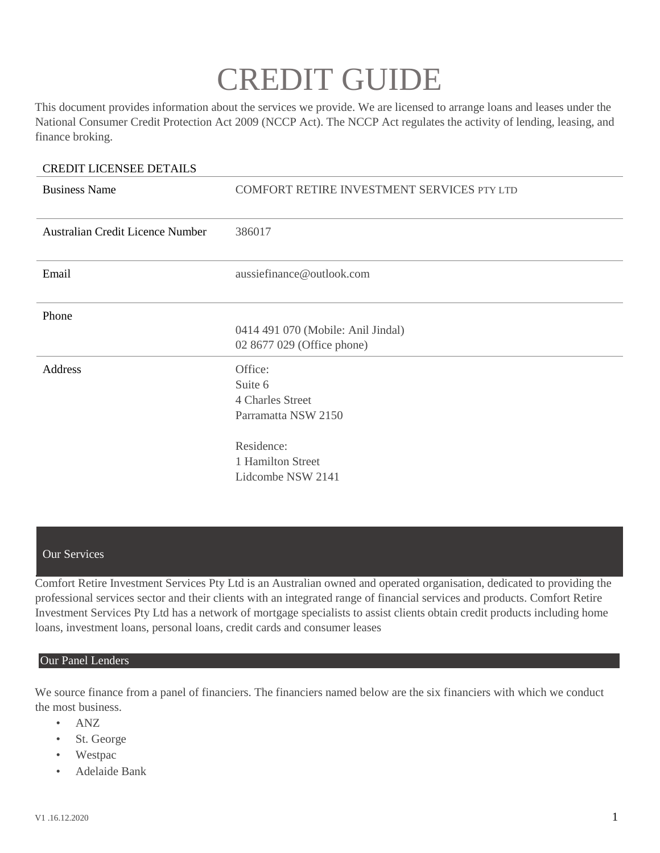# CREDIT GUIDE

This document provides information about the services we provide. We are licensed to arrange loans and leases under the National Consumer Credit Protection Act 2009 (NCCP Act). The NCCP Act regulates the activity of lending, leasing, and finance broking.

#### CREDIT LICENSEE DETAILS

| <b>Business Name</b>             | COMFORT RETIRE INVESTMENT SERVICES PTY LTD                                                                            |
|----------------------------------|-----------------------------------------------------------------------------------------------------------------------|
| Australian Credit Licence Number | 386017                                                                                                                |
| Email                            | aussiefinance@outlook.com                                                                                             |
| Phone                            | 0414 491 070 (Mobile: Anil Jindal)<br>02 8677 029 (Office phone)                                                      |
| Address                          | Office:<br>Suite 6<br>4 Charles Street<br>Parramatta NSW 2150<br>Residence:<br>1 Hamilton Street<br>Lidcombe NSW 2141 |

#### Our Services

Comfort Retire Investment Services Pty Ltd is an Australian owned and operated organisation, dedicated to providing the professional services sector and their clients with an integrated range of financial services and products. Comfort Retire Investment Services Pty Ltd has a network of mortgage specialists to assist clients obtain credit products including home loans, investment loans, personal loans, credit cards and consumer leases

#### Our Panel Lenders

We source finance from a panel of financiers. The financiers named below are the six financiers with which we conduct the most business.

- ANZ
- St. George
- Westpac
- Adelaide Bank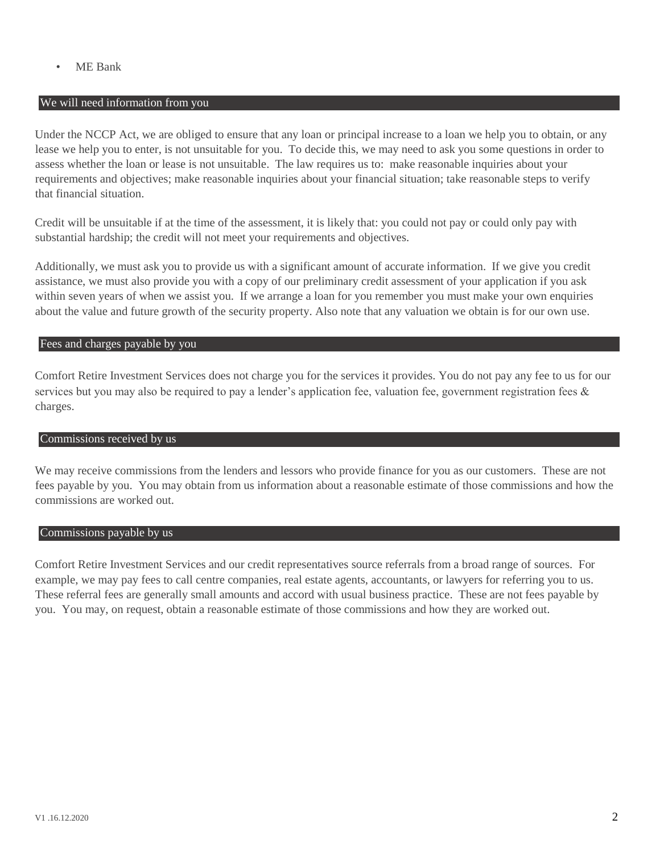• ME Bank

#### We will need information from you

Under the NCCP Act, we are obliged to ensure that any loan or principal increase to a loan we help you to obtain, or any lease we help you to enter, is not unsuitable for you. To decide this, we may need to ask you some questions in order to assess whether the loan or lease is not unsuitable. The law requires us to: make reasonable inquiries about your requirements and objectives; make reasonable inquiries about your financial situation; take reasonable steps to verify that financial situation.

Credit will be unsuitable if at the time of the assessment, it is likely that: you could not pay or could only pay with substantial hardship; the credit will not meet your requirements and objectives.

Additionally, we must ask you to provide us with a significant amount of accurate information. If we give you credit assistance, we must also provide you with a copy of our preliminary credit assessment of your application if you ask within seven years of when we assist you. If we arrange a loan for you remember you must make your own enquiries about the value and future growth of the security property. Also note that any valuation we obtain is for our own use.

#### Fees and charges payable by you

Comfort Retire Investment Services does not charge you for the services it provides. You do not pay any fee to us for our services but you may also be required to pay a lender's application fee, valuation fee, government registration fees & charges.

#### Commissions received by us

We may receive commissions from the lenders and lessors who provide finance for you as our customers. These are not fees payable by you. You may obtain from us information about a reasonable estimate of those commissions and how the commissions are worked out.

#### Commissions payable by us

Comfort Retire Investment Services and our credit representatives source referrals from a broad range of sources. For example, we may pay fees to call centre companies, real estate agents, accountants, or lawyers for referring you to us. These referral fees are generally small amounts and accord with usual business practice. These are not fees payable by you. You may, on request, obtain a reasonable estimate of those commissions and how they are worked out.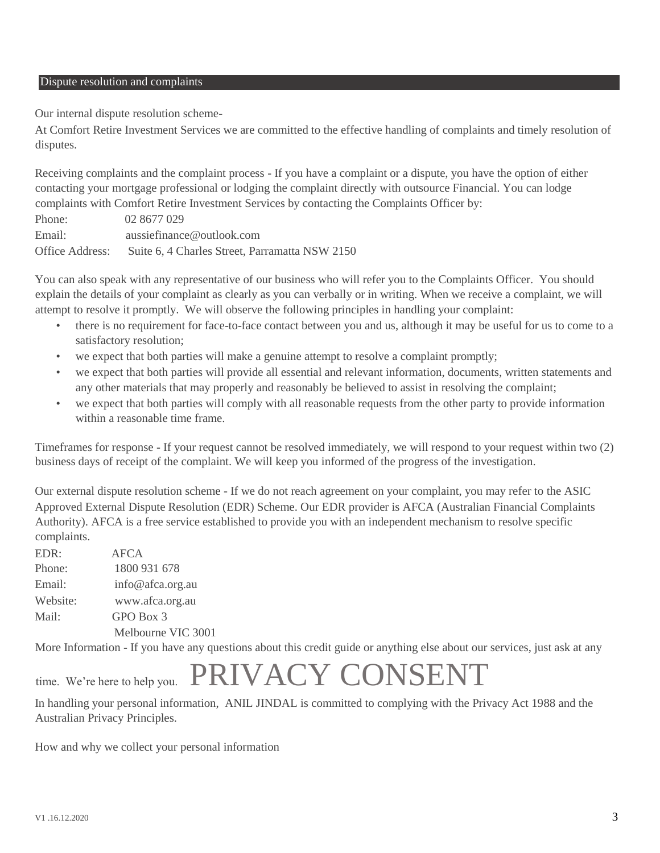#### Dispute resolution and complaints

Our internal dispute resolution scheme-

At Comfort Retire Investment Services we are committed to the effective handling of complaints and timely resolution of disputes.

Receiving complaints and the complaint process - If you have a complaint or a dispute, you have the option of either contacting your mortgage professional or lodging the complaint directly with outsource Financial. You can lodge complaints with Comfort Retire Investment Services by contacting the Complaints Officer by:

| Phone:          | 02 8677 029                                    |
|-----------------|------------------------------------------------|
| Email:          | aussiefinance@outlook.com                      |
| Office Address: | Suite 6, 4 Charles Street, Parramatta NSW 2150 |

You can also speak with any representative of our business who will refer you to the Complaints Officer. You should explain the details of your complaint as clearly as you can verbally or in writing. When we receive a complaint, we will attempt to resolve it promptly. We will observe the following principles in handling your complaint:

- there is no requirement for face-to-face contact between you and us, although it may be useful for us to come to a satisfactory resolution;
- we expect that both parties will make a genuine attempt to resolve a complaint promptly;
- we expect that both parties will provide all essential and relevant information, documents, written statements and any other materials that may properly and reasonably be believed to assist in resolving the complaint;
- we expect that both parties will comply with all reasonable requests from the other party to provide information within a reasonable time frame.

Timeframes for response - If your request cannot be resolved immediately, we will respond to your request within two (2) business days of receipt of the complaint. We will keep you informed of the progress of the investigation.

Our external dispute resolution scheme - If we do not reach agreement on your complaint, you may refer to the ASIC Approved External Dispute Resolution (EDR) Scheme. Our EDR provider is AFCA (Australian Financial Complaints Authority). AFCA is a free service established to provide you with an independent mechanism to resolve specific complaints.

EDR: AFCA Phone: 1800 931 678 Email: info@afca.org.au Website: www.afca.org.au Mail: GPO Box 3 Melbourne VIC 3001

More Information - If you have any questions about this credit guide or anything else about our services, just ask at any

## time. We're here to help you. PRIVACY CONSENT

In handling your personal information, ANIL JINDAL is committed to complying with the Privacy Act 1988 and the Australian Privacy Principles.

How and why we collect your personal information